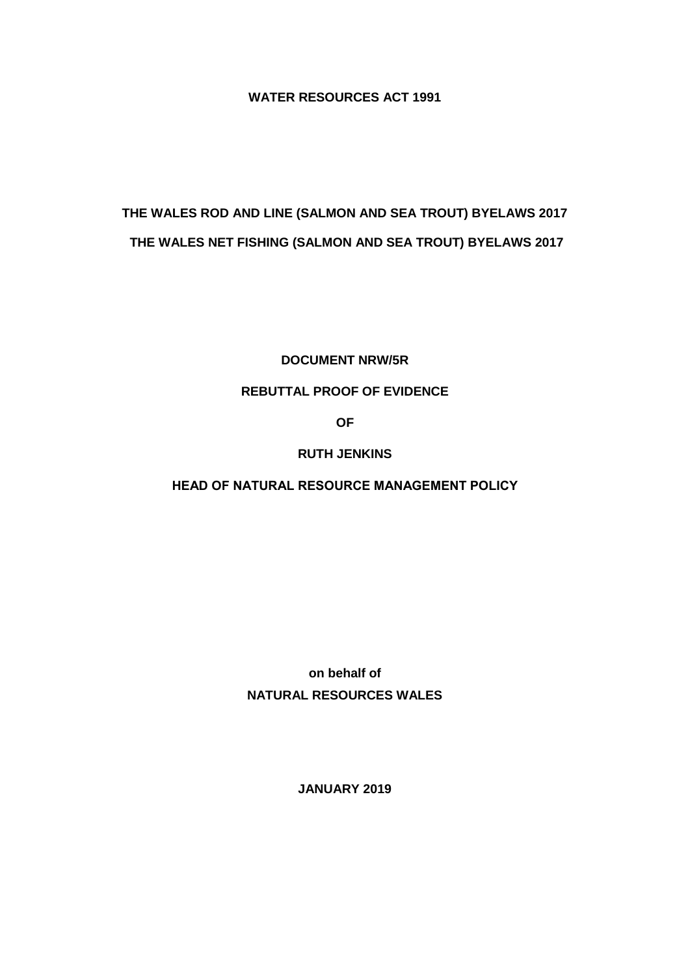**WATER RESOURCES ACT 1991**

# **THE WALES ROD AND LINE (SALMON AND SEA TROUT) BYELAWS 2017 THE WALES NET FISHING (SALMON AND SEA TROUT) BYELAWS 2017**

#### **DOCUMENT NRW/5R**

# **REBUTTAL PROOF OF EVIDENCE**

**OF**

# **RUTH JENKINS**

# **HEAD OF NATURAL RESOURCE MANAGEMENT POLICY**

**on behalf of NATURAL RESOURCES WALES**

**JANUARY 2019**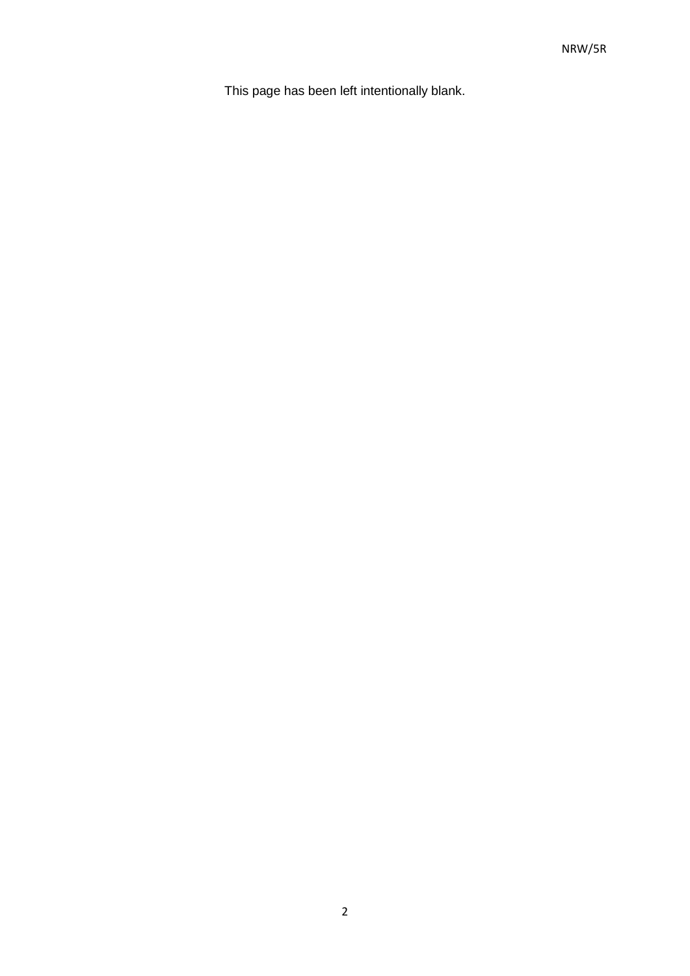This page has been left intentionally blank.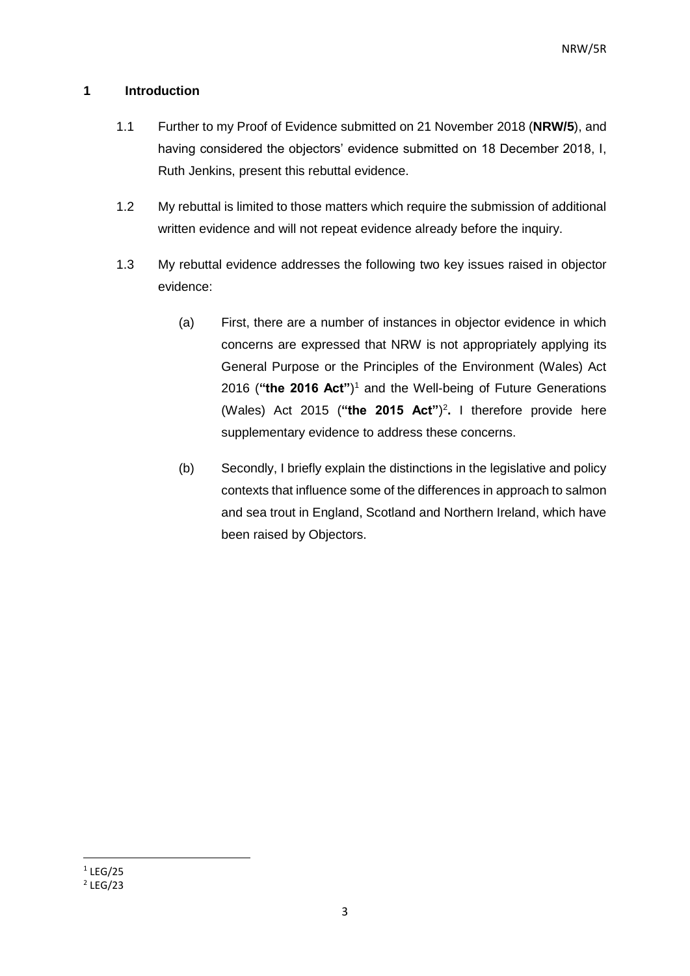### **1 Introduction**

- 1.1 Further to my Proof of Evidence submitted on 21 November 2018 (**NRW/5**), and having considered the objectors' evidence submitted on 18 December 2018, I, Ruth Jenkins, present this rebuttal evidence.
- 1.2 My rebuttal is limited to those matters which require the submission of additional written evidence and will not repeat evidence already before the inquiry.
- 1.3 My rebuttal evidence addresses the following two key issues raised in objector evidence:
	- (a) First, there are a number of instances in objector evidence in which concerns are expressed that NRW is not appropriately applying its General Purpose or the Principles of the Environment (Wales) Act 2016 (**"the 2016 Act"**) <sup>1</sup> and the Well-being of Future Generations (Wales) Act 2015 (**"the 2015 Act"**) 2 **.** I therefore provide here supplementary evidence to address these concerns.
	- (b) Secondly, I briefly explain the distinctions in the legislative and policy contexts that influence some of the differences in approach to salmon and sea trout in England, Scotland and Northern Ireland, which have been raised by Objectors.

**<sup>.</sup>**  $1$  LEG/25

<sup>2</sup> LEG/23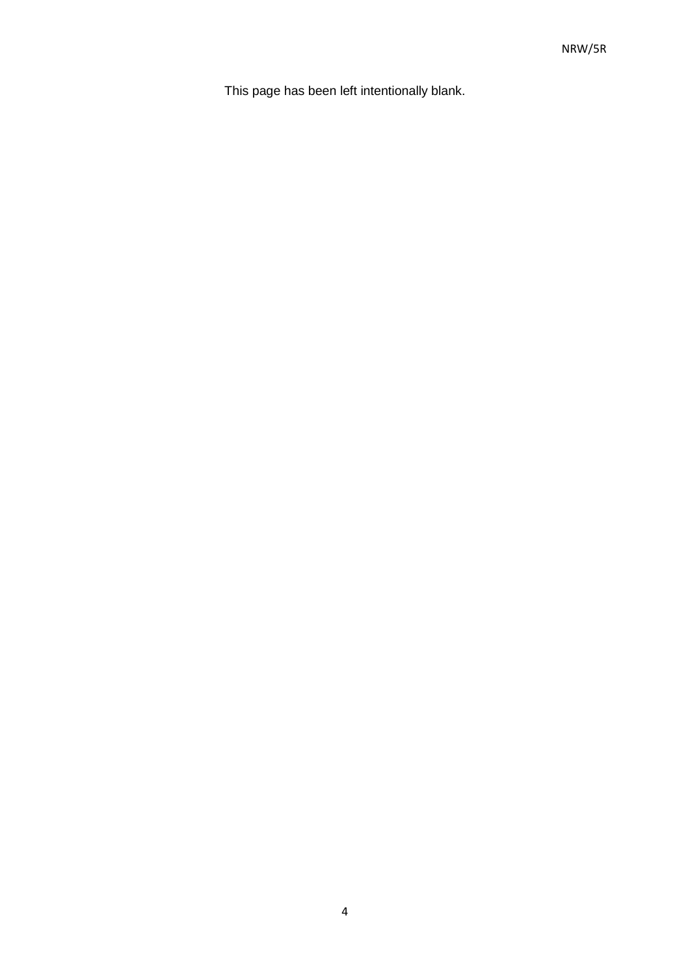This page has been left intentionally blank.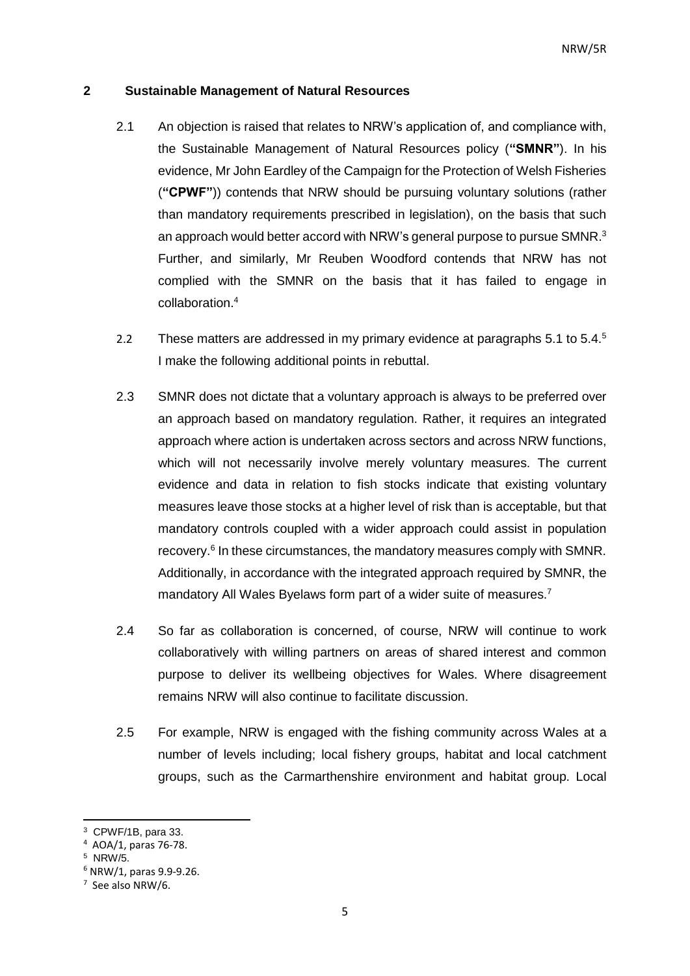### **2 Sustainable Management of Natural Resources**

- 2.1 An objection is raised that relates to NRW's application of, and compliance with, the Sustainable Management of Natural Resources policy (**"SMNR"**). In his evidence, Mr John Eardley of the Campaign for the Protection of Welsh Fisheries (**"CPWF"**)) contends that NRW should be pursuing voluntary solutions (rather than mandatory requirements prescribed in legislation), on the basis that such an approach would better accord with NRW's general purpose to pursue SMNR.<sup>3</sup> Further, and similarly, Mr Reuben Woodford contends that NRW has not complied with the SMNR on the basis that it has failed to engage in collaboration. 4
- 2.2 These matters are addressed in my primary evidence at paragraphs 5.1 to 5.4.<sup>5</sup> I make the following additional points in rebuttal.
- 2.3 SMNR does not dictate that a voluntary approach is always to be preferred over an approach based on mandatory regulation. Rather, it requires an integrated approach where action is undertaken across sectors and across NRW functions, which will not necessarily involve merely voluntary measures. The current evidence and data in relation to fish stocks indicate that existing voluntary measures leave those stocks at a higher level of risk than is acceptable, but that mandatory controls coupled with a wider approach could assist in population recovery.<sup>6</sup> In these circumstances, the mandatory measures comply with SMNR. Additionally, in accordance with the integrated approach required by SMNR, the mandatory All Wales Byelaws form part of a wider suite of measures.<sup>7</sup>
- 2.4 So far as collaboration is concerned, of course, NRW will continue to work collaboratively with willing partners on areas of shared interest and common purpose to deliver its wellbeing objectives for Wales. Where disagreement remains NRW will also continue to facilitate discussion.
- 2.5 For example, NRW is engaged with the fishing community across Wales at a number of levels including; local fishery groups, habitat and local catchment groups, such as the Carmarthenshire environment and habitat group. Local

1

<sup>3</sup> CPWF/1B, para 33.

<sup>4</sup> AOA/1, paras 76-78.

<sup>5</sup> NRW/5.

<sup>6</sup> NRW/1, paras 9.9-9.26.

<sup>7</sup> See also NRW/6.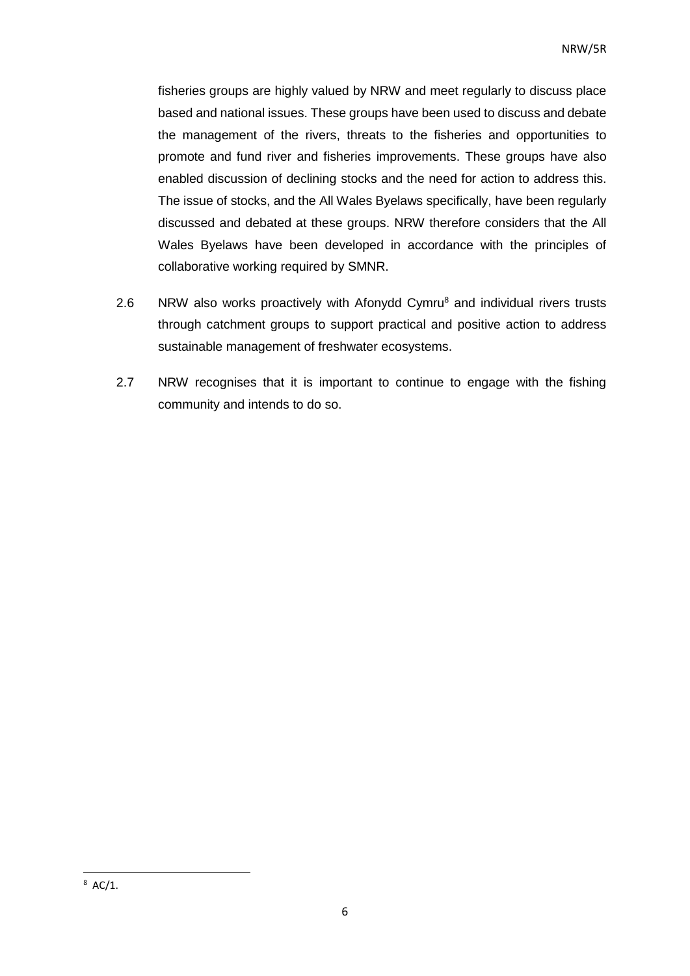fisheries groups are highly valued by NRW and meet regularly to discuss place based and national issues. These groups have been used to discuss and debate the management of the rivers, threats to the fisheries and opportunities to promote and fund river and fisheries improvements. These groups have also enabled discussion of declining stocks and the need for action to address this. The issue of stocks, and the All Wales Byelaws specifically, have been regularly discussed and debated at these groups. NRW therefore considers that the All Wales Byelaws have been developed in accordance with the principles of collaborative working required by SMNR.

- 2.6 NRW also works proactively with Afonydd Cymru<sup>8</sup> and individual rivers trusts through catchment groups to support practical and positive action to address sustainable management of freshwater ecosystems.
- 2.7 NRW recognises that it is important to continue to engage with the fishing community and intends to do so.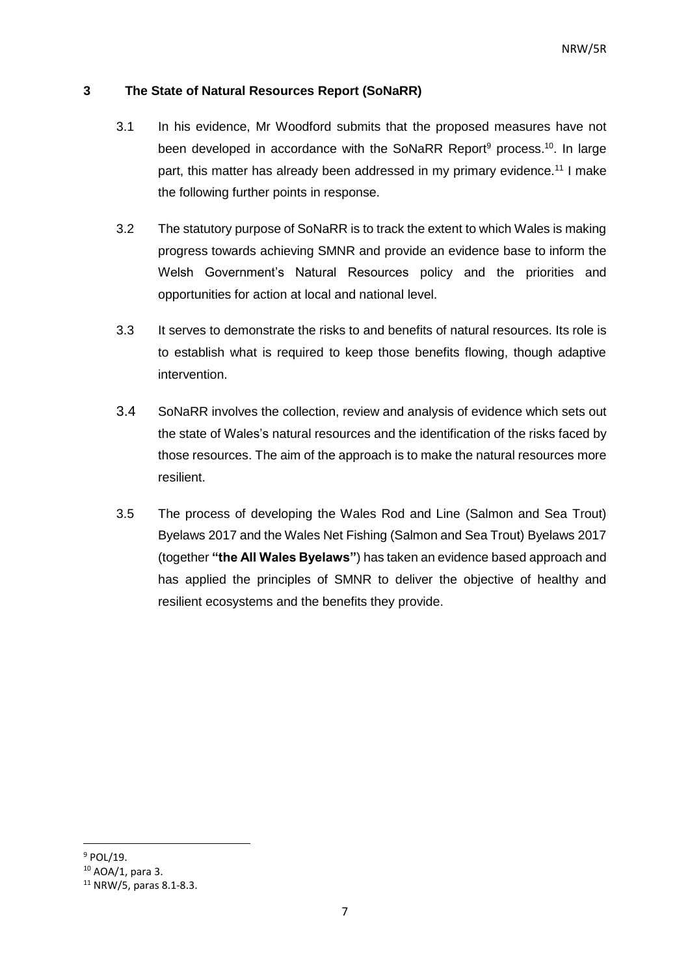## **3 The State of Natural Resources Report (SoNaRR)**

- 3.1 In his evidence, Mr Woodford submits that the proposed measures have not been developed in accordance with the SoNaRR Report<sup>9</sup> process.<sup>10</sup>. In large part, this matter has already been addressed in my primary evidence.<sup>11</sup> I make the following further points in response.
- 3.2 The statutory purpose of SoNaRR is to track the extent to which Wales is making progress towards achieving SMNR and provide an evidence base to inform the Welsh Government's Natural Resources policy and the priorities and opportunities for action at local and national level.
- 3.3 It serves to demonstrate the risks to and benefits of natural resources. Its role is to establish what is required to keep those benefits flowing, though adaptive intervention.
- 3.4 SoNaRR involves the collection, review and analysis of evidence which sets out the state of Wales's natural resources and the identification of the risks faced by those resources. The aim of the approach is to make the natural resources more resilient.
- 3.5 The process of developing the Wales Rod and Line (Salmon and Sea Trout) Byelaws 2017 and the Wales Net Fishing (Salmon and Sea Trout) Byelaws 2017 (together **"the All Wales Byelaws"**) has taken an evidence based approach and has applied the principles of SMNR to deliver the objective of healthy and resilient ecosystems and the benefits they provide.

**.** 

<sup>9</sup> POL/19.

<sup>10</sup> AOA/1, para 3.

<sup>11</sup> NRW/5, paras 8.1-8.3.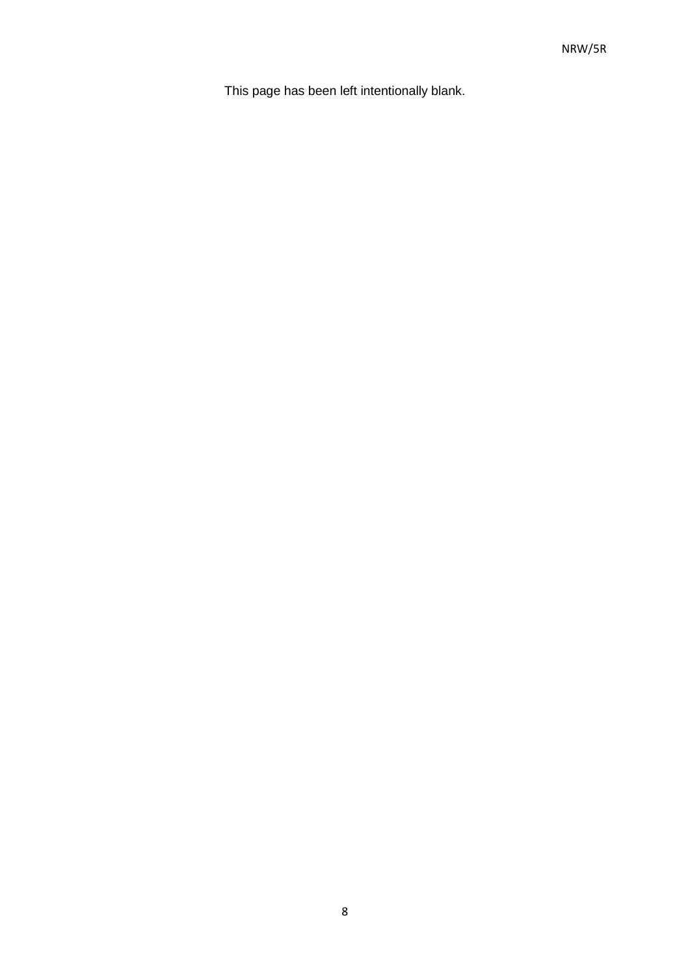This page has been left intentionally blank.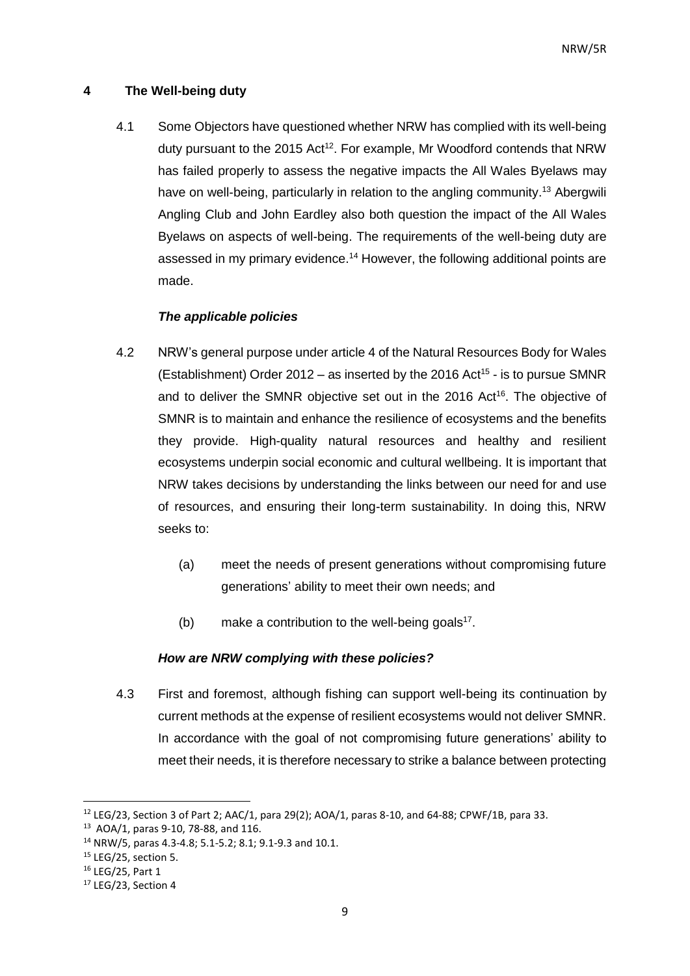#### **4 The Well-being duty**

4.1 Some Objectors have questioned whether NRW has complied with its well-being duty pursuant to the 2015 Act<sup>12</sup>. For example, Mr Woodford contends that NRW has failed properly to assess the negative impacts the All Wales Byelaws may have on well-being, particularly in relation to the angling community.<sup>13</sup> Abergwili Angling Club and John Eardley also both question the impact of the All Wales Byelaws on aspects of well-being. The requirements of the well-being duty are assessed in my primary evidence.<sup>14</sup> However, the following additional points are made.

#### *The applicable policies*

- 4.2 NRW's general purpose under article 4 of the Natural Resources Body for Wales (Establishment) Order 2012 – as inserted by the 2016 Act<sup>15</sup> - is to pursue SMNR and to deliver the SMNR objective set out in the 2016  $Act^{16}$ . The objective of SMNR is to maintain and enhance the resilience of ecosystems and the benefits they provide. High-quality natural resources and healthy and resilient ecosystems underpin social economic and cultural wellbeing. It is important that NRW takes decisions by understanding the links between our need for and use of resources, and ensuring their long-term sustainability. In doing this, NRW seeks to:
	- (a) meet the needs of present generations without compromising future generations' ability to meet their own needs; and
	- $(b)$  make a contribution to the well-being goals<sup>17</sup>.

#### *How are NRW complying with these policies?*

4.3 First and foremost, although fishing can support well-being its continuation by current methods at the expense of resilient ecosystems would not deliver SMNR. In accordance with the goal of not compromising future generations' ability to meet their needs, it is therefore necessary to strike a balance between protecting

**.** 

<sup>&</sup>lt;sup>12</sup> LEG/23, Section 3 of Part 2; AAC/1, para 29(2); AOA/1, paras 8-10, and 64-88; CPWF/1B, para 33.

<sup>13</sup> AOA/1, paras 9-10, 78-88, and 116.

<sup>14</sup> NRW/5, paras 4.3-4.8; 5.1-5.2; 8.1; 9.1-9.3 and 10.1.

<sup>15</sup> LEG/25, section 5.

<sup>16</sup> LEG/25, Part 1

<sup>17</sup> LEG/23, Section 4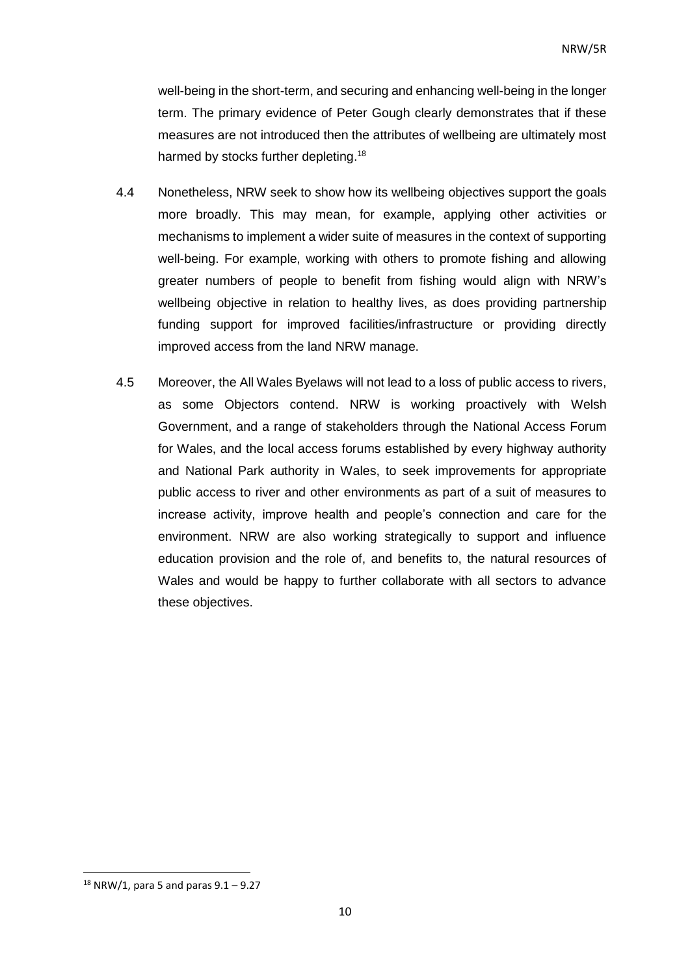well-being in the short-term, and securing and enhancing well-being in the longer term. The primary evidence of Peter Gough clearly demonstrates that if these measures are not introduced then the attributes of wellbeing are ultimately most harmed by stocks further depleting.<sup>18</sup>

- 4.4 Nonetheless, NRW seek to show how its wellbeing objectives support the goals more broadly. This may mean, for example, applying other activities or mechanisms to implement a wider suite of measures in the context of supporting well-being. For example, working with others to promote fishing and allowing greater numbers of people to benefit from fishing would align with NRW's wellbeing objective in relation to healthy lives, as does providing partnership funding support for improved facilities/infrastructure or providing directly improved access from the land NRW manage.
- 4.5 Moreover, the All Wales Byelaws will not lead to a loss of public access to rivers, as some Objectors contend. NRW is working proactively with Welsh Government, and a range of stakeholders through the National Access Forum for Wales, and the local access forums established by every highway authority and National Park authority in Wales, to seek improvements for appropriate public access to river and other environments as part of a suit of measures to increase activity, improve health and people's connection and care for the environment. NRW are also working strategically to support and influence education provision and the role of, and benefits to, the natural resources of Wales and would be happy to further collaborate with all sectors to advance these objectives.

**.** 

 $18$  NRW/1, para 5 and paras  $9.1 - 9.27$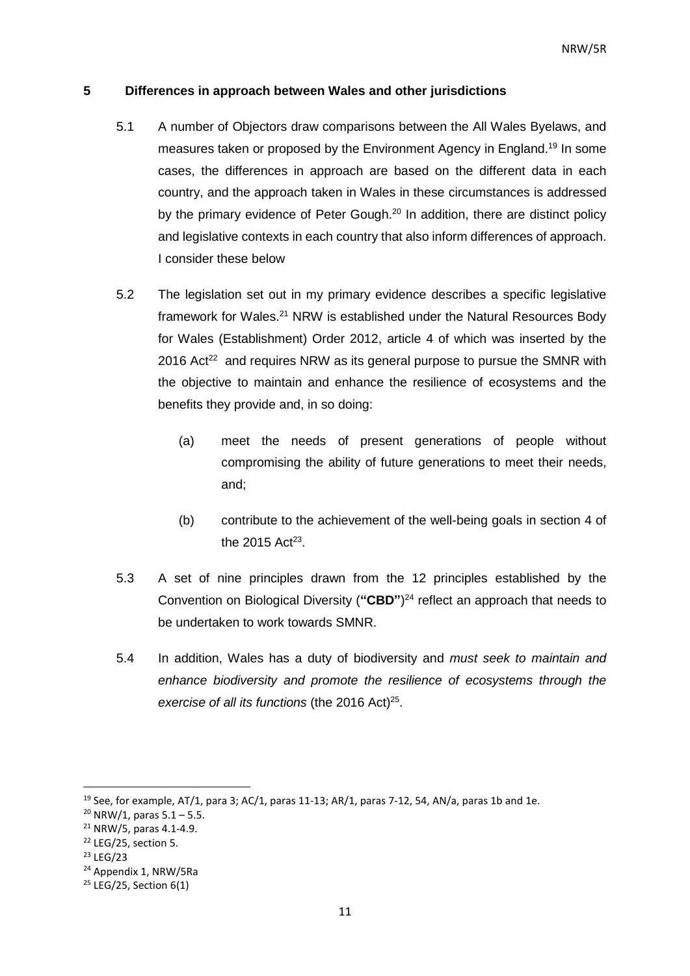## **5 Differences in approach between Wales and other jurisdictions**

- 5.1 A number of Objectors draw comparisons between the All Wales Byelaws, and measures taken or proposed by the Environment Agency in England. <sup>19</sup> In some cases, the differences in approach are based on the different data in each country, and the approach taken in Wales in these circumstances is addressed by the primary evidence of Peter Gough.<sup>20</sup> In addition, there are distinct policy and legislative contexts in each country that also inform differences of approach. I consider these below
- 5.2 The legislation set out in my primary evidence describes a specific legislative framework for Wales.<sup>21</sup> NRW is established under the Natural Resources Body for Wales (Establishment) Order 2012, article 4 of which was inserted by the 2016 Act<sup>22</sup> and requires NRW as its general purpose to pursue the SMNR with the objective to maintain and enhance the resilience of ecosystems and the benefits they provide and, in so doing:
	- (a) meet the needs of present generations of people without compromising the ability of future generations to meet their needs, and;
	- (b) contribute to the achievement of the well-being goals in section 4 of the 2015 Act $^{23}$ .
- 5.3 A set of nine principles drawn from the 12 principles established by the Convention on Biological Diversity (**"CBD"**) <sup>24</sup> reflect an approach that needs to be undertaken to work towards SMNR.
- 5.4 In addition, Wales has a duty of biodiversity and *must seek to maintain and enhance biodiversity and promote the resilience of ecosystems through the*  exercise of all its functions (the 2016 Act)<sup>25</sup>.

 $\overline{a}$ 

<sup>&</sup>lt;sup>19</sup> See, for example, AT/1, para 3; AC/1, paras 11-13; AR/1, paras 7-12, 54, AN/a, paras 1b and 1e.

 $20$  NRW/1, paras  $5.1 - 5.5$ .

<sup>21</sup> NRW/5, paras 4.1-4.9.

 $22$  LEG/25, section 5.

<sup>23</sup> LEG/23

<sup>24</sup> Appendix 1, NRW/5Ra

<sup>25</sup> LEG/25, Section 6(1)